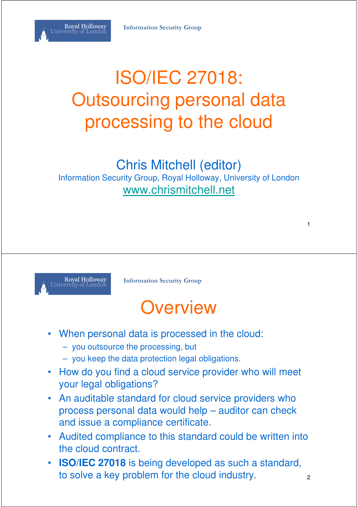

## ISO/IEC 27018: Outsourcing personal data processing to the cloud

#### Chris Mitchell (editor)

Information Security Group, Royal Holloway, University of London www.chrismitchell.net



**Information Security Group**

#### **Overview**

- When personal data is processed in the cloud:
	- you outsource the processing, but
	- you keep the data protection legal obligations.
- How do you find a cloud service provider who will meet your legal obligations?
- An auditable standard for cloud service providers who process personal data would help – auditor can check and issue a compliance certificate.
- Audited compliance to this standard could be written into the cloud contract.
- **ISO/IEC 27018** is being developed as such a standard, to solve a key problem for the cloud industry.  $\frac{1}{2}$

1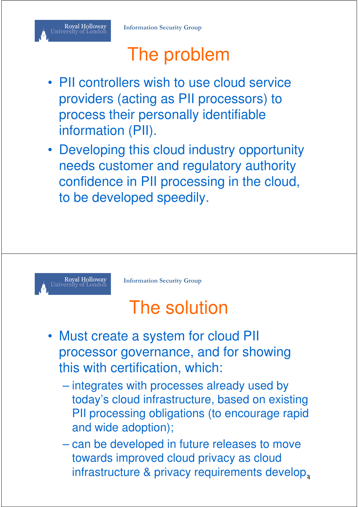#### Royal Holloway<br>University of London

## The problem

- PII controllers wish to use cloud service providers (acting as PII processors) to process their personally identifiable information (PII).
- Developing this cloud industry opportunity needs customer and regulatory authority confidence in PII processing in the cloud, to be developed speedily.



**Information Security Group**

## The solution

- Must create a system for cloud PII processor governance, and for showing this with certification, which:
	- integrates with processes already used by today's cloud infrastructure, based on existing PII processing obligations (to encourage rapid and wide adoption);
	- can be developed in future releases to move towards improved cloud privacy as cloud infrastructure & privacy requirements develop,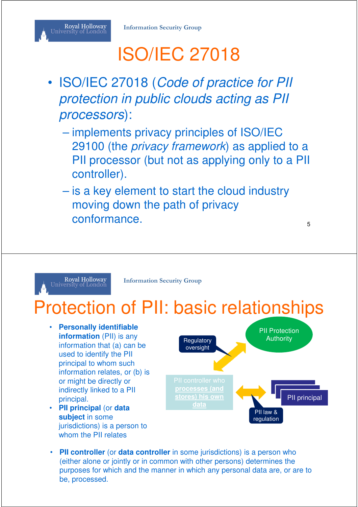#### Royal Holloway<br>University of London

# ISO/IEC 27018

- ISO/IEC 27018 (Code of practice for PII protection in public clouds acting as PII processors):
	- implements privacy principles of ISO/IEC 29100 (the *privacy framework*) as applied to a PII processor (but not as applying only to a PII controller).
	- is a key element to start the cloud industry moving down the path of privacy conformance.

#### Royal Holloway<br>University of London

**Information Security Group**

## Protection of PII: basic relationships

- **Personally identifiable information** (PII) is any information that (a) can be used to identify the PII principal to whom such information relates, or (b) is or might be directly or indirectly linked to a PII principal.
- **PII principal** (or **data subject** in some jurisdictions) is a person to whom the PII relates



• **PII controller** (or **data controller** in some jurisdictions) is a person who (either alone or jointly or in common with other persons) determines the purposes for which and the manner in which any personal data are, or are to be, processed.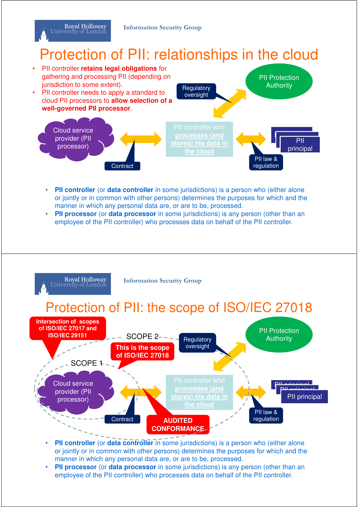Royal Holloway University of London

#### Protection of PII: relationships in the cloud



- **PII controller** (or **data controller** in some jurisdictions) is a person who (either alone or jointly or in common with other persons) determines the purposes for which and the manner in which any personal data are, or are to be, processed.
- **PII processor** (or **data processor** in some jurisdictions) is any person (other than an employee of the PII controller) who processes data on behalf of the PII controller.



- **PII controller** (or **data controller** in some jurisdictions) is a person who (either alone or jointly or in common with other persons) determines the purposes for which and the manner in which any personal data are, or are to be, processed.
- **PII processor** (or **data processor** in some jurisdictions) is any person (other than an employee of the PII controller) who processes data on behalf of the PII controller.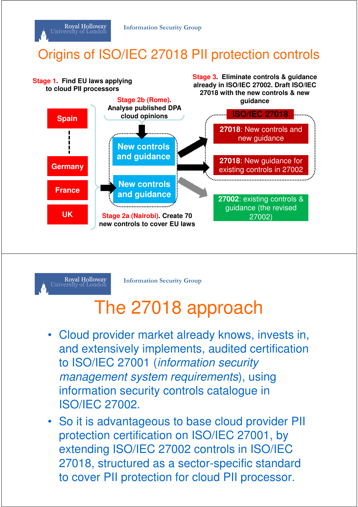#### Origins of ISO/IEC 27018 PII protection controls





Royal Holloway University of London

**Information Security Group**

#### The 27018 approach

- Cloud provider market already knows, invests in, and extensively implements, audited certification to ISO/IEC 27001 (information security management system requirements), using information security controls catalogue in ISO/IEC 27002.
- So it is advantageous to base cloud provider PII protection certification on ISO/IEC 27001, by extending ISO/IEC 27002 controls in ISO/IEC 27018, structured as a sector-specific standard to cover PII protection for cloud PII processor.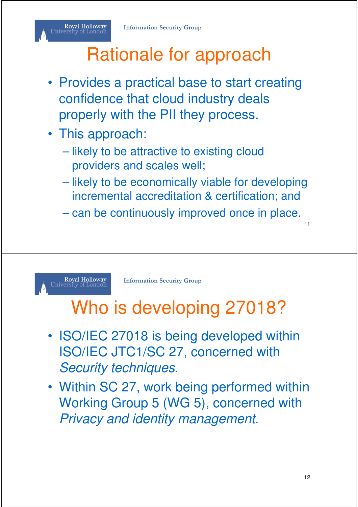#### Royal Holloway<br>University of London

# Rationale for approach

- Provides a practical base to start creating confidence that cloud industry deals properly with the PII they process.
- This approach:
	- likely to be attractive to existing cloud providers and scales well;
	- likely to be economically viable for developing incremental accreditation & certification; and
	- can be continuously improved once in place.

11

Royal Holloway<br>University of London

**Information Security Group**

## Who is developing 27018?

- ISO/IEC 27018 is being developed within ISO/IEC JTC1/SC 27, concerned with Security techniques.
- Within SC 27, work being performed within Working Group 5 (WG 5), concerned with Privacy and identity management.